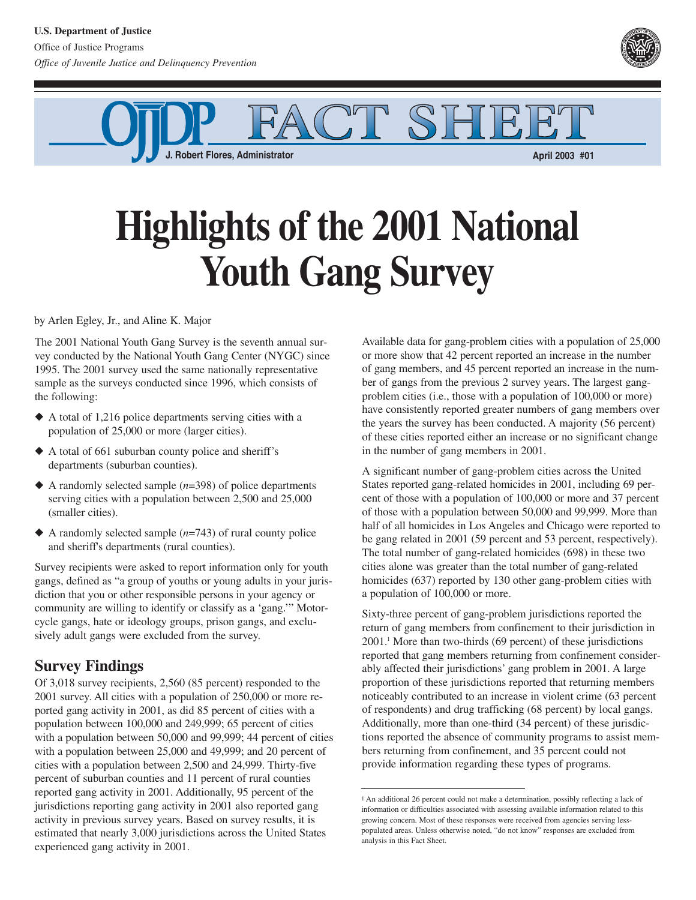

F. *Robert Flores, Administrator* **<b>April 2003 #01 April 2003 #01** 

## **Highlights of the 2001 National Youth Gang Survey**

by Arlen Egley, Jr., and Aline K. Major

The 2001 National Youth Gang Survey is the seventh annual survey conducted by the National Youth Gang Center (NYGC) since 1995. The 2001 survey used the same nationally representative sample as the surveys conducted since 1996, which consists of the following:

- ◆ A total of 1,216 police departments serving cities with a population of 25,000 or more (larger cities).
- ◆ A total of 661 suburban county police and sheriff's departments (suburban counties).
- ◆ A randomly selected sample (*n*=398) of police departments serving cities with a population between 2,500 and 25,000 (smaller cities).
- ◆ A randomly selected sample (*n*=743) of rural county police and sheriff's departments (rural counties).

Survey recipients were asked to report information only for youth gangs, defined as "a group of youths or young adults in your jurisdiction that you or other responsible persons in your agency or community are willing to identify or classify as a 'gang.'" Motorcycle gangs, hate or ideology groups, prison gangs, and exclusively adult gangs were excluded from the survey.

## **Survey Findings**

Of 3,018 survey recipients, 2,560 (85 percent) responded to the 2001 survey. All cities with a population of 250,000 or more reported gang activity in 2001, as did 85 percent of cities with a population between 100,000 and 249,999; 65 percent of cities with a population between 50,000 and 99,999; 44 percent of cities with a population between 25,000 and 49,999; and 20 percent of cities with a population between 2,500 and 24,999. Thirty-five percent of suburban counties and 11 percent of rural counties reported gang activity in 2001. Additionally, 95 percent of the jurisdictions reporting gang activity in 2001 also reported gang activity in previous survey years. Based on survey results, it is estimated that nearly 3,000 jurisdictions across the United States experienced gang activity in 2001.

Available data for gang-problem cities with a population of 25,000 or more show that 42 percent reported an increase in the number of gang members, and 45 percent reported an increase in the number of gangs from the previous 2 survey years. The largest gangproblem cities (i.e., those with a population of 100,000 or more) have consistently reported greater numbers of gang members over the years the survey has been conducted. A majority (56 percent) of these cities reported either an increase or no significant change in the number of gang members in 2001.

A significant number of gang-problem cities across the United States reported gang-related homicides in 2001, including 69 percent of those with a population of 100,000 or more and 37 percent of those with a population between 50,000 and 99,999. More than half of all homicides in Los Angeles and Chicago were reported to be gang related in 2001 (59 percent and 53 percent, respectively). The total number of gang-related homicides (698) in these two cities alone was greater than the total number of gang-related homicides (637) reported by 130 other gang-problem cities with a population of 100,000 or more.

Sixty-three percent of gang-problem jurisdictions reported the return of gang members from confinement to their jurisdiction in  $2001$ .<sup>1</sup> More than two-thirds (69 percent) of these jurisdictions reported that gang members returning from confinement considerably affected their jurisdictions' gang problem in 2001. A large proportion of these jurisdictions reported that returning members noticeably contributed to an increase in violent crime (63 percent of respondents) and drug trafficking (68 percent) by local gangs. Additionally, more than one-third (34 percent) of these jurisdictions reported the absence of community programs to assist members returning from confinement, and 35 percent could not provide information regarding these types of programs.

<sup>1</sup> An additional 26 percent could not make a determination, possibly reflecting a lack of information or difficulties associated with assessing available information related to this growing concern. Most of these responses were received from agencies serving lesspopulated areas. Unless otherwise noted, "do not know" responses are excluded from analysis in this Fact Sheet.